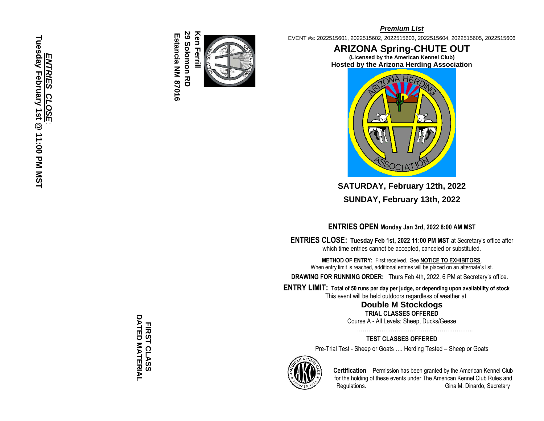**29 Solomon RD** 29 Solomon RD Ken Ferrill **Ken Ferrill** Estancia NM 87016 **Estancia NM 87016**



### *Premium List*

EVENT #s: 2022515601, 2022515602, 2022515603, 2022515604, 2022515605, 2022515606

**ARIZONA Spring -CHUTE OUT (Licensed by the American Kennel Club ) Hosted by the Arizona Herding Association**



**SATURDAY, February 12th, 2022 SUNDAY, February 13th, 2022**

**ENTRIES OPEN Monday Jan 3rd, 2022 8:00 AM MST**

**ENTRIES CLOSE : Tuesday Feb 1st, 2022 11:00 PM MST** at Secretary's office after which time entries cannot be accepted, canceled or substituted.

**METHOD OF ENTRY:** First received. See **NOTICE TO EXHIBITORS**. When entry limit is reached, additional entries will be placed on an alternate's list.

**DRAWING FOR RUNNING ORDER:** Thurs Feb 4th, 2022, 6 PM at Secretary's office.

**E N TRY LIMIT: Total of 50 runs per day per judge, or depending upon availability of stock**

This event will be held outdoors regardless of weather at

**Double M Stockdogs** 

**TRIAL CLASSES OFFERED** Course A - All Levels: Sheep, Ducks/Geese

……………………………………………………..

**TEST CLASSES OFFERED**

Pre -Trial Test - Sheep or Goats …. Herding Tested – Sheep or Goats



**Certification** Permission has been granted by the American Kennel Club for the holding of these events under The American Kennel Club Rules and Regulations. **Gina M. Dinardo, Secretary** 

DATED MATERIAL **DATED MATERIAL**  FIRST CLASS **FIRST CLASS**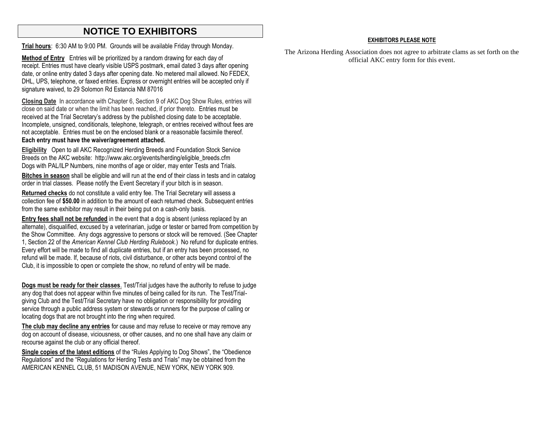# **NOTICE TO EXHIBITORS**

**Trial hours**: 6:30 AM to 9:00 PM. Grounds will be available Friday through Monday.

**Method of Entry** Entries will be prioritized by a random drawing for each day of receipt. Entries must have clearly visible USPS postmark, email dated 3 days after opening date, or online entry dated 3 days after opening date. No metered mail allowed. No FEDEX, DHL, UPS, telephone, or faxed entries. Express or overnight entries will be accepted only if signature waived, to 29 Solomon Rd Estancia NM 87016

**Closing Date** In accordance with Chapter 6, Section 9 of AKC Dog Show Rules, entries will close on said date or when the limit has been reached, if prior thereto. Entries must be received at the Trial Secretary's address by the published closing date to be acceptable. Incomplete, unsigned, conditionals, telephone, telegraph, or entries received without fees are not acceptable. Entries must be on the enclosed blank or a reasonable facsimile thereof. **Each entry must have the waiver/agreement attached.**

**Eligibility** Open to all AKC Recognized Herding Breeds and Foundation Stock Service Breeds on the AKC website: http://www.akc.org/events/herding/eligible\_breeds.cfm Dogs with PAL/ILP Numbers, nine months of age or older, may enter Tests and Trials.

**Bitches in season** shall be eligible and will run at the end of their class in tests and in catalog order in trial classes. Please notify the Event Secretary if your bitch is in season.

**Returned checks** do not constitute a valid entry fee. The Trial Secretary will assess a collection fee of **\$50.00** in addition to the amount of each returned check. Subsequent entries from the same exhibitor may result in their being put on a cash-only basis.

**Entry fees shall not be refunded** in the event that a dog is absent (unless replaced by an alternate), disqualified, excused by a veterinarian, judge or tester or barred from competition by the Show Committee. Any dogs aggressive to persons or stock will be removed. (See Chapter 1, Section 22 of the *American Kennel Club Herding Rulebook.*) No refund for duplicate entries. Every effort will be made to find all duplicate entries, but if an entry has been processed, no refund will be made. If, because of riots, civil disturbance, or other acts beyond control of the Club, it is impossible to open or complete the show, no refund of entry will be made.

**Dogs must be ready for their classes**. Test/Trial judges have the authority to refuse to judge any dog that does not appear within five minutes of being called for its run. The Test/Trialgiving Club and the Test/Trial Secretary have no obligation or responsibility for providing service through a public address system or stewards or runners for the purpose of calling or locating dogs that are not brought into the ring when required.

**The club may decline any entries** for cause and may refuse to receive or may remove any dog on account of disease, viciousness, or other causes, and no one shall have any claim or recourse against the club or any official thereof.

**Single copies of the latest editions** of the "Rules Applying to Dog Shows", the "Obedience Regulations" and the "Regulations for Herding Tests and Trials" may be obtained from the AMERICAN KENNEL CLUB, 51 MADISON AVENUE, NEW YORK, NEW YORK 909.

### **EXHIBITORS PLEASE NOTE**

The Arizona Herding Association does not agree to arbitrate clams as set forth on the official AKC entry form for this event.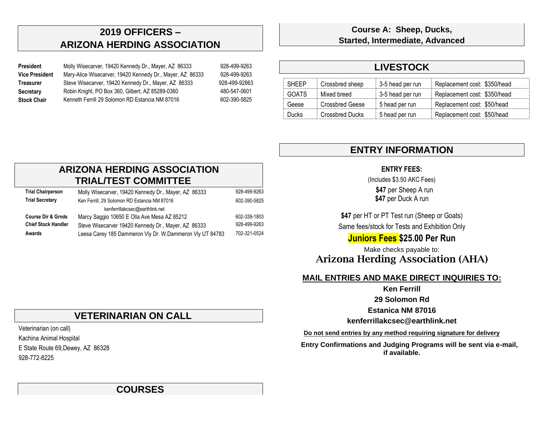# **2019 OFFICERS – ARIZONA HERDING ASSOCIATION**

| President             | Molly Wisecarver, 19420 Kennedy Dr., Mayer, AZ 86333      | 928-499-9263  |
|-----------------------|-----------------------------------------------------------|---------------|
| <b>Vice President</b> | Mary-Alice Wisecarver, 19420 Kennedy Dr., Mayer, AZ 86333 | 928-499-9263  |
| <b>Treasurer</b>      | Steve Wisecarver, 19420 Kennedy Dr., Mayer, AZ 86333      | 928-499-92863 |
| Secretary             | Robin Knight, PO Box 360, Gilbert, AZ 85289-0360          | 480-547-0601  |
| <b>Stock Chair</b>    | Kenneth Ferrill 29 Solomon RD Estancia NM 87016           | 602-390-5825  |
|                       |                                                           |               |

**Course A: Sheep, Ducks, Started, Intermediate, Advanced**

# **LIVESTOCK**

| <b>SHEEP</b> | Crossbred sheep | 3-5 head per run | Replacement cost: \$350/head |
|--------------|-----------------|------------------|------------------------------|
| GOATS        | Mixed breed     | 3-5 head per run | Replacement cost: \$350/head |
| Geese        | Crossbred Geese | 5 head per run   | Replacement cost: \$50/head  |
| Ducks        | Crossbred Ducks | 5 head per run   | Replacement cost: \$50/head  |

# **ENTRY INFORMATION**

## **ENTRY FEES:**

(Includes \$3.50 AKC Fees)

 **\$47** per Sheep A run **\$47** per Duck A run

\$47 per HT or PT Test run (Sheep or Goats) Same fees/stock for Tests and Exhibition Only

## **Juniors Fees \$25.00 Per Run**

Make checks payable to: **Arizona Herding Association (AHA)**

## **MAIL ENTRIES AND MAKE DIRECT INQUIRIES TO:**

**Ken Ferrill**

**29 Solomon Rd**

**Estanica NM 87016**

**kenferrillakcsec@earthlink.net**

**Do not send entries by any method requiring signature for delivery**

 **Entry Confirmations and Judging Programs will be sent via e-mail, if available.**

## **ARIZONA HERDING ASSOCIATION TRIAL/TEST COMMITTEE**

| <b>Trial Chairperson</b>      | Molly Wisecarver, 19420 Kennedy Dr., Mayer, AZ 86333     | 928-499-9263 |
|-------------------------------|----------------------------------------------------------|--------------|
| <b>Trial Secretary</b>        | Ken Ferrill, 29 Solomon RD Estancia NM 87016             | 602-390-5825 |
|                               | kenferrillakcsec@earthlink.net                           |              |
| <b>Course Dir &amp; Grnds</b> | Marcy Saggio 10650 E Olla Ave Mesa AZ 85212              | 602-339-1803 |
| <b>Chief Stock Handler</b>    | Steve Wisecarver 19420 Kennedy Dr., Mayer, AZ 86333      | 928-499-9263 |
| Awards                        | Leesa Carey 185 Dammeron Vly Dr. W.Dammeron Vly UT 84783 | 702-321-0524 |

# **VETERINARIAN ON CALL**

Veterinarian (on call)

Kachina Animal Hospital E State Route 69,Dewey, AZ 86328

928-772-8225

# **COURSES**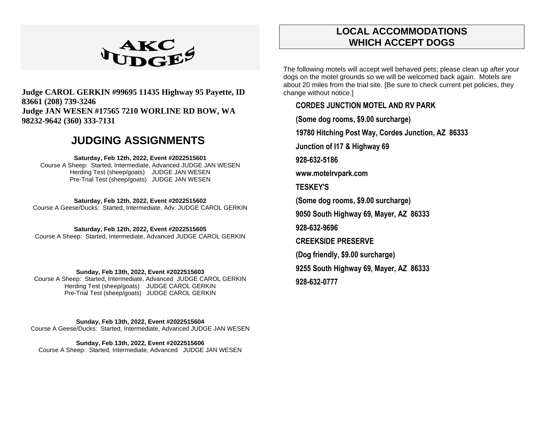

## **Judge CAROL GERKIN #99695 11435 Highway 95 Payette, ID 83661 (208) 739-3246 Judge JAN WESEN #17565 7210 WORLINE RD BOW, WA 98232-9642 (360) 333-7131**

# **JUDGING ASSIGNMENTS**

#### **Saturday, Feb 12th, 2022, Event #2022515601**

Course A Sheep: Started, Intermediate, Advanced JUDGE JAN WESEN Herding Test (sheep/goats) JUDGE JAN WESEN Pre-Trial Test (sheep/goats) JUDGE JAN WESEN

#### **Saturday, Feb 12th, 2022, Event #2022515602**

Course A Geese/Ducks: Started, Intermediate, Adv. JUDGE CAROL GERKIN

#### **Saturday, Feb 12th, 2022, Event #2022515605**

Course A Sheep: Started, Intermediate, Advanced JUDGE CAROL GERKIN

### **Sunday, Feb 13th, 2022, Event #2022515603**

Course A Sheep: Started, Intermediate, Advanced JUDGE CAROL GERKIN Herding Test (sheep/goats) JUDGE CAROL GERKIN Pre-Trial Test (sheep/goats) JUDGE CAROL GERKIN

#### **Sunday, Feb 13th, 2022, Event #2022515604**

Course A Geese/Ducks: Started, Intermediate, Advanced JUDGE JAN WESEN

#### **Sunday, Feb 13th, 2022, Event #2022515606** Course A Sheep: Started, Intermediate, Advanced JUDGE JAN WESEN

# **LOCAL ACCOMMODATIONS WHICH ACCEPT DOGS**

The following motels will accept well behaved pets; please clean up after your dogs on the motel grounds so we will be welcomed back again. Motels are about 20 miles from the trial site. [Be sure to check current pet policies, they change without notice.]

## **CORDES JUNCTION MOTEL AND RV PARK**

**(Some dog rooms, \$9.00 surcharge)**

**19780 Hitching Post Way, Cordes Junction, AZ 86333** 

**Junction of I17 & Highway 69**

**928-632-5186**

**www.motelrvpark.com**

**TESKEY'S**

**(Some dog rooms, \$9.00 surcharge)**

**9050 South Highway 69, Mayer, AZ 86333**

**928-632-9696**

**CREEKSIDE PRESERVE**

**(Dog friendly, \$9.00 surcharge)**

**9255 South Highway 69, Mayer, AZ 86333**

**928-632-0777**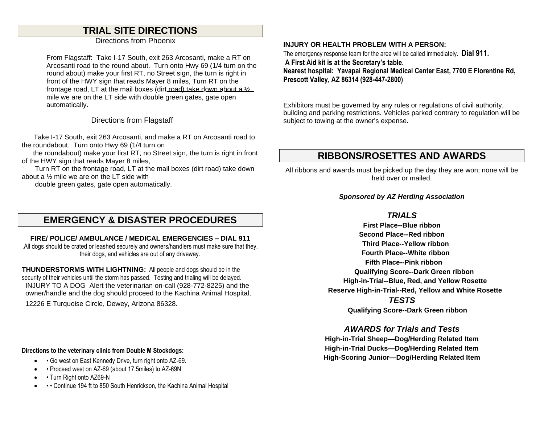# **TRIAL SITE DIRECTIONS**

Directions from Phoenix

From Flagstaff: Take I-17 South, exit 263 Arcosanti, make a RT on Arcosanti road to the round about. Turn onto Hwy 69 (1/4 turn on the round about) make your first RT, no Street sign, the turn is right in front of the HWY sign that reads Mayer 8 miles, Turn RT on the frontage road, LT at the mail boxes (dirt road) take down about a ½ mile we are on the LT side with double green gates, gate open automatically.

Directions from Flagstaff

 Take I-17 South, exit 263 Arcosanti, and make a RT on Arcosanti road to the roundabout. Turn onto Hwy 69 (1/4 turn on

 the roundabout) make your first RT, no Street sign, the turn is right in front of the HWY sign that reads Mayer 8 miles,

 Turn RT on the frontage road, LT at the mail boxes (dirt road) take down about a ½ mile we are on the LT side with

double green gates, gate open automatically.

# **EMERGENCY & DISASTER PROCEDURES**

**FIRE/ POLICE/ AMBULANCE / MEDICAL EMERGENCIES – DIAL 911**  .All dogs should be crated or leashed securely and owners/handlers must make sure that they, their dogs, and vehicles are out of any driveway.

**THUNDERSTORMS WITH LIGHTNING:** All people and dogs should be in the security of their vehicles until the storm has passed. Testing and trialing will be delayed. INJURY TO A DOG Alert the veterinarian on-call (928-772-8225) and the owner/handle and the dog should proceed to the Kachina Animal Hospital, 12226 E Turquoise Circle, Dewey, Arizona 86328.

### **Directions to the veterinary clinic from Double M Stockdogs:**

- • Go west on East Kennedy Drive, turn right onto AZ-69.
- • Proceed west on AZ-69 (about 17.5miles) to AZ-69N.
- Turn Right onto AZ69-N
- • Continue 194 ft to 850 South Henrickson, the Kachina Animal Hospital

### **INJURY OR HEALTH PROBLEM WITH A PERSON:**

The emergency response team for the area will be called immediately. **Dial 911. A First Aid kit is at the Secretary's table. Nearest hospital: Yavapai Regional Medical Center East, 7700 E Florentine Rd, Prescott Valley, AZ 86314 (928-447-2800)**

Exhibitors must be governed by any rules or regulations of civil authority, building and parking restrictions. Vehicles parked contrary to regulation will be subject to towing at the owner's expense.

# **RIBBONS/ROSETTES AND AWARDS**

All ribbons and awards must be picked up the day they are won; none will be held over or mailed.

### *Sponsored by AZ Herding Association*

### *TRIALS*

**First Place--Blue ribbon Second Place--Red ribbon Third Place--Yellow ribbon Fourth Place--White ribbon Fifth Place--Pink ribbon Qualifying Score--Dark Green ribbon High-in-Trial--Blue, Red, and Yellow Rosette Reserve High-in-Trial--Red, Yellow and White Rosette** *TESTS*

 **Qualifying Score--Dark Green ribbon**

## *AWARDS for Trials and Tests*

**High-in-Trial Sheep—Dog/Herding Related Item High-in-Trial Ducks—Dog/Herding Related Item High-Scoring Junior—Dog/Herding Related Item**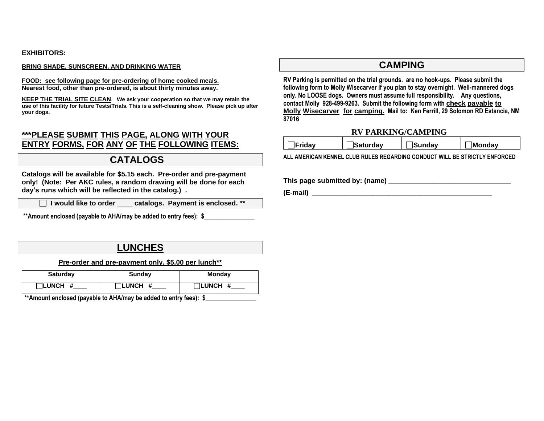#### **EXHIBITORS:**

#### **BRING SHADE, SUNSCREEN, AND DRINKING WATER**

**FOOD: see following page for pre-ordering of home cooked meals. Nearest food, other than pre-ordered, is about thirty minutes away.**

**KEEP THE TRIAL SITE CLEAN**. **We ask your cooperation so that we may retain the use of this facility for future Tests/Trials. This is a self-cleaning show. Please pick up after your dogs.**

## **\*\*\*PLEASE SUBMIT THIS PAGE, ALONG WITH YOUR ENTRY FORMS, FOR ANY OF THE FOLLOWING ITEMS:**

## **CATALOGS**

**Catalogs will be available for \$5.15 each. Pre-order and pre-payment only! (Note: Per AKC rules, a random drawing will be done for each day's runs which will be reflected in the catalog.) .**

 **I would like to order \_\_\_\_ catalogs. Payment is enclosed. \*\***

\*\*Amount enclosed (payable to AHA/may be added to entry fees): \$

# **LUNCHES**

**Pre-order and pre-payment only. \$5.00 per lunch\*\*** 

| <b>Saturday</b>  | <b>Sunday</b>    | <b>Monday</b>   |
|------------------|------------------|-----------------|
| $\sqcap$ LUNCH # | $\sqcap$ LUNCH # | <b>TLUNCH #</b> |

\*\*Amount enclosed (payable to AHA/may be added to entry fees): \$

## **CAMPING**

**RV Parking is permitted on the trial grounds. are no hook-ups. Please submit the following form to Molly Wisecarver if you plan to stay overnight. Well-mannered dogs only. No LOOSE dogs. Owners must assume full responsibility. Any questions, contact Molly 928-499-9263. Submit the following form with check payable to Molly Wisecarver for camping. Mail to: Ken Ferrill, 29 Solomon RD Estancia, NM 87016**

### **RV PARKING/CAMPING**

| <b>IFridav</b> | <b>Saturdav</b> | <b>Sundav</b> | <b>Monday</b> |
|----------------|-----------------|---------------|---------------|
|                |                 |               |               |

**ALL AMERICAN KENNEL CLUB RULES REGARDING CONDUCT WILL BE STRICTLY ENFORCED**

**This page submitted by: (name) \_\_\_\_\_\_\_\_\_\_\_\_\_\_\_\_\_\_\_\_\_\_\_\_\_\_\_\_\_\_\_\_**

**(E-mail) \_\_\_\_\_\_\_\_\_\_\_\_\_\_\_\_\_\_\_\_\_\_\_\_\_\_\_\_\_\_\_\_\_\_\_\_\_\_\_\_\_\_\_\_\_\_\_**